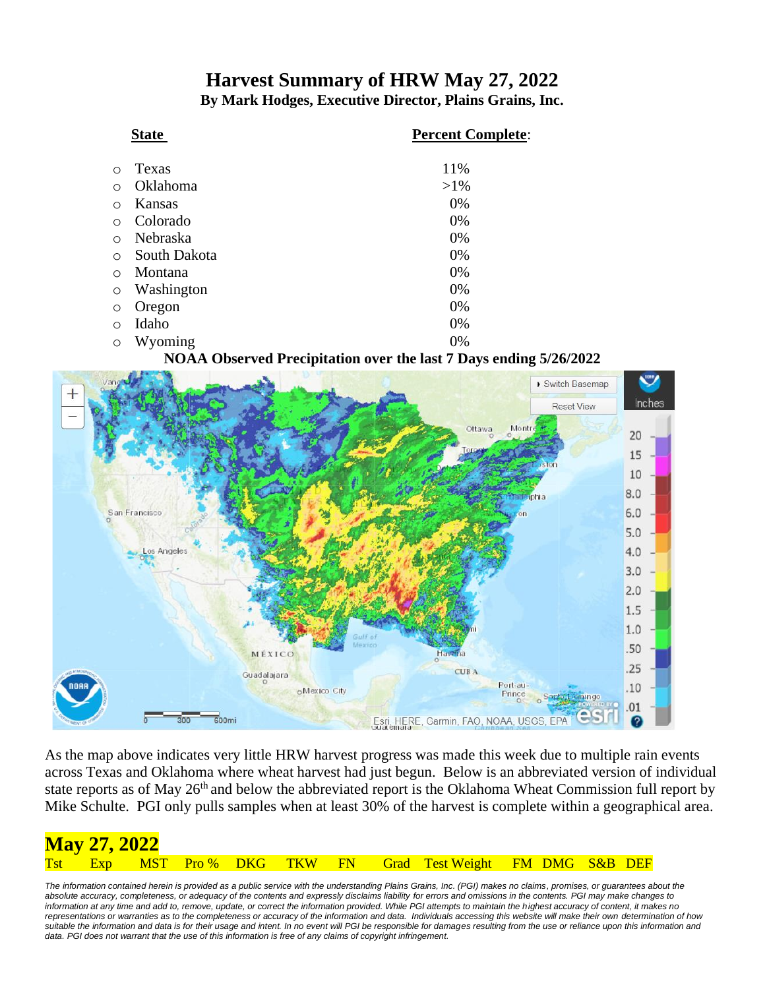### **Harvest Summary of HRW May 27, 2022 By Mark Hodges, Executive Director, Plains Grains, Inc.**

|            | <b>State</b> | <b>Percent Complete:</b> |
|------------|--------------|--------------------------|
| ∩          | Texas        | 11%                      |
| $\bigcirc$ | Oklahoma     | $>1\%$                   |
| $\circ$    | Kansas       | 0%                       |
| $\circ$    | Colorado     | 0%                       |
| $\bigcirc$ | Nebraska     | 0%                       |
| $\circ$    | South Dakota | 0%                       |
| $\bigcirc$ | Montana      | 0%                       |
| $\circ$    | Washington   | 0%                       |
| $\circ$    | Oregon       | 0%                       |
| $\circ$    | Idaho        | 0%                       |
| $\circ$    | Wyoming      | 0%                       |

#### **NOAA Observed Precipitation over the last 7 Days ending 5/26/2022**



As the map above indicates very little HRW harvest progress was made this week due to multiple rain events across Texas and Oklahoma where wheat harvest had just begun. Below is an abbreviated version of individual state reports as of May 26<sup>th</sup> and below the abbreviated report is the Oklahoma Wheat Commission full report by Mike Schulte. PGI only pulls samples when at least 30% of the harvest is complete within a geographical area.

| <b>May 27, 2022</b> |  |  |  |                                                             |  |  |
|---------------------|--|--|--|-------------------------------------------------------------|--|--|
|                     |  |  |  | Tst Exp MST Pro% DKG TKW FN Grad Test Weight FM DMG S&B DEF |  |  |

The information contained herein is provided as a public service with the understanding Plains Grains, Inc. (PGI) makes no claims, promises, or guarantees about the *absolute accuracy, completeness, or adequacy of the contents and expressly disclaims liability for errors and omissions in the contents. PGI may make changes to information at any time and add to, remove, update, or correct the information provided. While PGI attempts to maintain the highest accuracy of content, it makes no representations or warranties as to the completeness or accuracy of the information and data. Individuals accessing this website will make their own determination of how suitable the information and data is for their usage and intent. In no event will PGI be responsible for damages resulting from the use or reliance upon this information and*  data. PGI does not warrant that the use of this information is free of any claims of copyright infringement.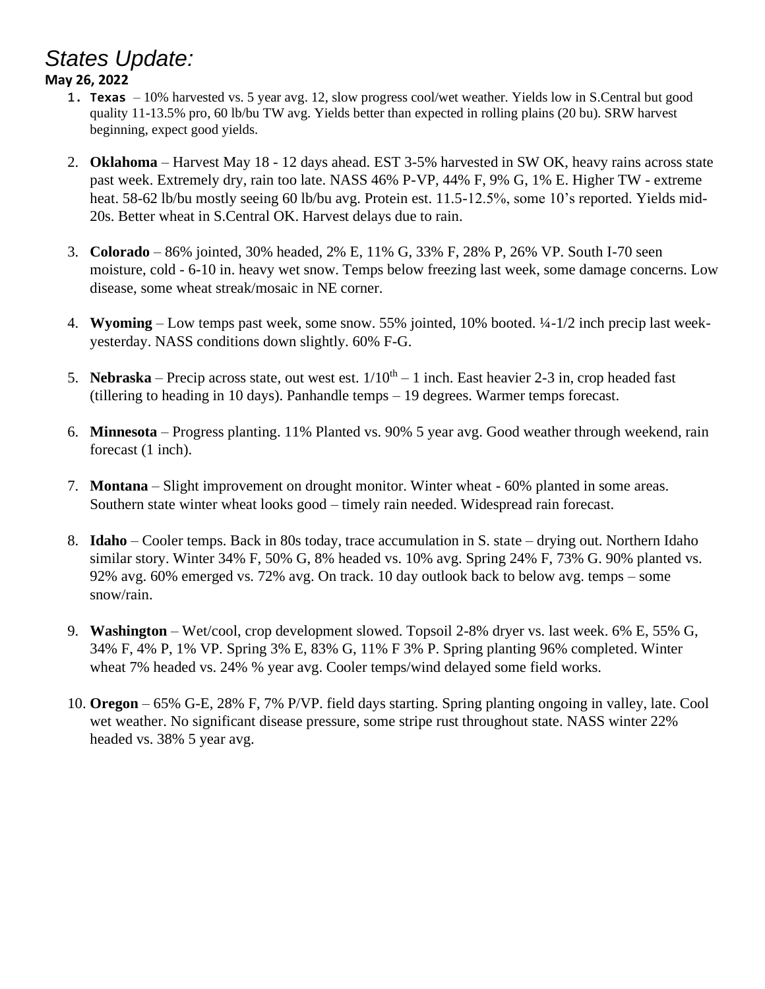# *States Update:*

#### **May 26, 2022**

- 1. **Texas**  10% harvested vs. 5 year avg. 12, slow progress cool/wet weather. Yields low in S.Central but good quality 11-13.5% pro, 60 lb/bu TW avg. Yields better than expected in rolling plains (20 bu). SRW harvest beginning, expect good yields.
- 2. **Oklahoma**  Harvest May 18 12 days ahead. EST 3-5% harvested in SW OK, heavy rains across state past week. Extremely dry, rain too late. NASS 46% P-VP, 44% F, 9% G, 1% E. Higher TW - extreme heat. 58-62 lb/bu mostly seeing 60 lb/bu avg. Protein est. 11.5-12.5%, some 10's reported. Yields mid-20s. Better wheat in S.Central OK. Harvest delays due to rain.
- 3. **Colorado** 86% jointed, 30% headed, 2% E, 11% G, 33% F, 28% P, 26% VP. South I-70 seen moisture, cold - 6-10 in. heavy wet snow. Temps below freezing last week, some damage concerns. Low disease, some wheat streak/mosaic in NE corner.
- 4. **Wyoming**  Low temps past week, some snow. 55% jointed, 10% booted. ¼-1/2 inch precip last weekyesterday. NASS conditions down slightly. 60% F-G.
- 5. **Nebraska** Precip across state, out west est.  $1/10^{th} 1$  inch. East heavier 2-3 in, crop headed fast (tillering to heading in 10 days). Panhandle temps – 19 degrees. Warmer temps forecast.
- 6. **Minnesota** Progress planting. 11% Planted vs. 90% 5 year avg. Good weather through weekend, rain forecast (1 inch).
- 7. **Montana**  Slight improvement on drought monitor. Winter wheat 60% planted in some areas. Southern state winter wheat looks good – timely rain needed. Widespread rain forecast.
- 8. **Idaho** Cooler temps. Back in 80s today, trace accumulation in S. state drying out. Northern Idaho similar story. Winter 34% F, 50% G, 8% headed vs. 10% avg. Spring 24% F, 73% G. 90% planted vs. 92% avg. 60% emerged vs. 72% avg. On track. 10 day outlook back to below avg. temps – some snow/rain.
- 9. **Washington**  Wet/cool, crop development slowed. Topsoil 2-8% dryer vs. last week. 6% E, 55% G, 34% F, 4% P, 1% VP. Spring 3% E, 83% G, 11% F 3% P. Spring planting 96% completed. Winter wheat 7% headed vs. 24% % year avg. Cooler temps/wind delayed some field works.
- 10. **Oregon** 65% G-E, 28% F, 7% P/VP. field days starting. Spring planting ongoing in valley, late. Cool wet weather. No significant disease pressure, some stripe rust throughout state. NASS winter 22% headed vs. 38% 5 year avg.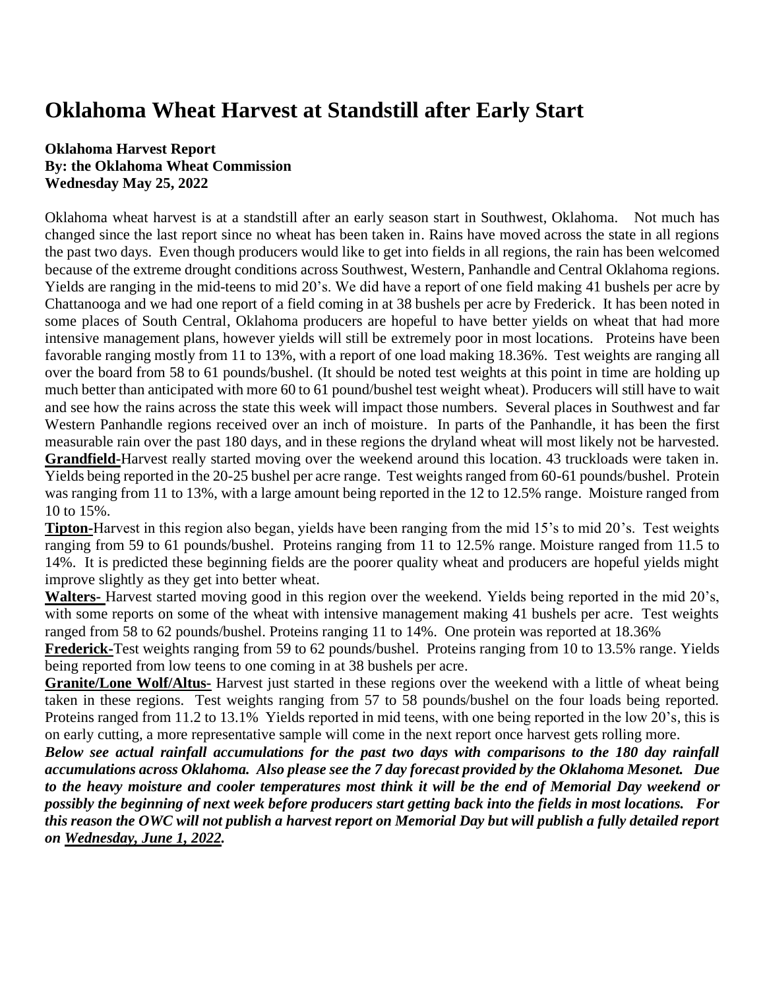## **Oklahoma Wheat Harvest at Standstill after Early Start**

#### **Oklahoma Harvest Report By: the Oklahoma Wheat Commission Wednesday May 25, 2022**

Oklahoma wheat harvest is at a standstill after an early season start in Southwest, Oklahoma. Not much has changed since the last report since no wheat has been taken in. Rains have moved across the state in all regions the past two days. Even though producers would like to get into fields in all regions, the rain has been welcomed because of the extreme drought conditions across Southwest, Western, Panhandle and Central Oklahoma regions. Yields are ranging in the mid-teens to mid 20's. We did have a report of one field making 41 bushels per acre by Chattanooga and we had one report of a field coming in at 38 bushels per acre by Frederick. It has been noted in some places of South Central, Oklahoma producers are hopeful to have better yields on wheat that had more intensive management plans, however yields will still be extremely poor in most locations. Proteins have been favorable ranging mostly from 11 to 13%, with a report of one load making 18.36%. Test weights are ranging all over the board from 58 to 61 pounds/bushel. (It should be noted test weights at this point in time are holding up much better than anticipated with more 60 to 61 pound/bushel test weight wheat). Producers will still have to wait and see how the rains across the state this week will impact those numbers. Several places in Southwest and far Western Panhandle regions received over an inch of moisture. In parts of the Panhandle, it has been the first measurable rain over the past 180 days, and in these regions the dryland wheat will most likely not be harvested. **Grandfield-**Harvest really started moving over the weekend around this location. 43 truckloads were taken in. Yields being reported in the 20-25 bushel per acre range. Test weights ranged from 60-61 pounds/bushel. Protein was ranging from 11 to 13%, with a large amount being reported in the 12 to 12.5% range. Moisture ranged from 10 to 15%.

**Tipton-**Harvest in this region also began, yields have been ranging from the mid 15's to mid 20's. Test weights ranging from 59 to 61 pounds/bushel. Proteins ranging from 11 to 12.5% range. Moisture ranged from 11.5 to 14%. It is predicted these beginning fields are the poorer quality wheat and producers are hopeful yields might improve slightly as they get into better wheat.

**Walters-** Harvest started moving good in this region over the weekend. Yields being reported in the mid 20's, with some reports on some of the wheat with intensive management making 41 bushels per acre. Test weights ranged from 58 to 62 pounds/bushel. Proteins ranging 11 to 14%. One protein was reported at 18.36%

**Frederick-**Test weights ranging from 59 to 62 pounds/bushel. Proteins ranging from 10 to 13.5% range. Yields being reported from low teens to one coming in at 38 bushels per acre.

**Granite/Lone Wolf/Altus-** Harvest just started in these regions over the weekend with a little of wheat being taken in these regions. Test weights ranging from 57 to 58 pounds/bushel on the four loads being reported. Proteins ranged from 11.2 to 13.1% Yields reported in mid teens, with one being reported in the low 20's, this is on early cutting, a more representative sample will come in the next report once harvest gets rolling more.

*Below see actual rainfall accumulations for the past two days with comparisons to the 180 day rainfall accumulations across Oklahoma. Also please see the 7 day forecast provided by the Oklahoma Mesonet. Due to the heavy moisture and cooler temperatures most think it will be the end of Memorial Day weekend or possibly the beginning of next week before producers start getting back into the fields in most locations. For this reason the OWC will not publish a harvest report on Memorial Day but will publish a fully detailed report on Wednesday, June 1, 2022.*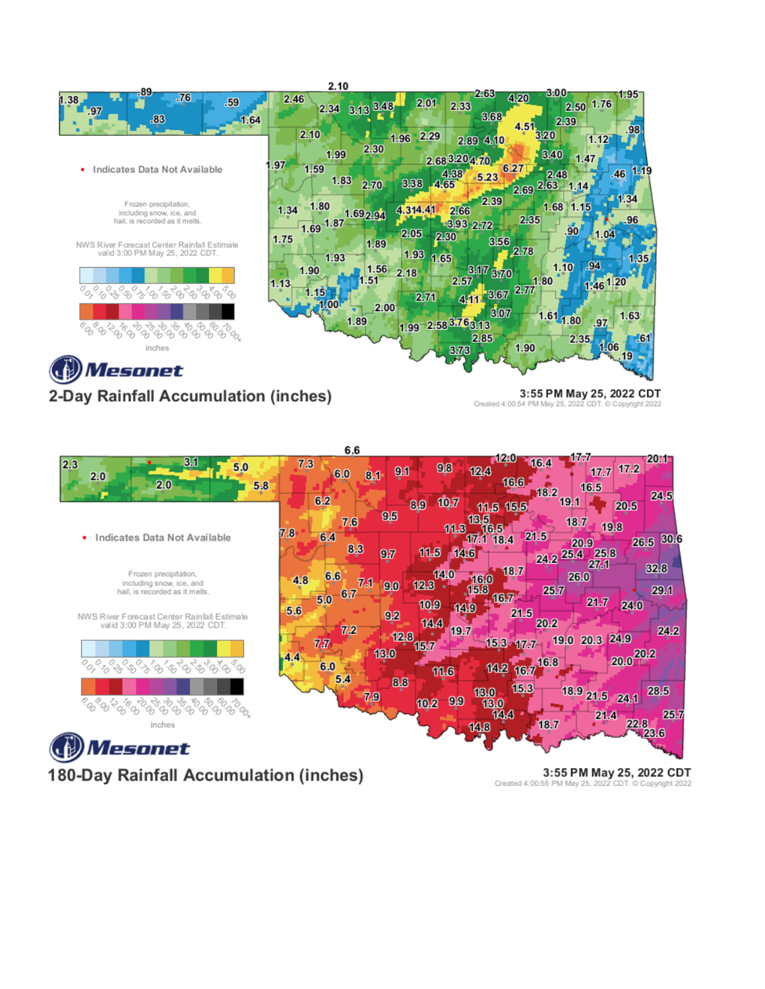





180-Day Rainfall Accumulation (inches)

Created 4:00:55 PM May 25, 2022 CDT. @ Copyright 2022